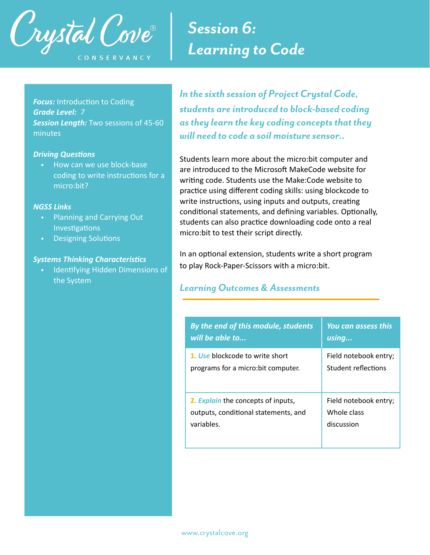

# *Session 6: Learning to Code*

**Focus:** Introduction to Coding *Grade Level: 7 Session Length:* Two sessions of 45-60 minutes

#### **Driving Questions**

• How can we use block-base coding to write instructions for a micro:bit?

### *NGSS Links*

- Planning and Carrying Out Investigations
- Designing Solutions

#### **Systems Thinking Characteristics**

**Identifying Hidden Dimensions of** the System

*In the sixth session of Project Crystal Code, students are introduced to block-based coding as they learn the key coding concepts that they will need to code a soil moisture sensor..* 

Students learn more about the micro:bit computer and are introduced to the Microsoft MakeCode website for writing code. Students use the Make:Code website to practice using different coding skills: using blockcode to write instructions, using inputs and outputs, creating conditional statements, and defining variables. Optionally, students can also practice downloading code onto a real micro:bit to test their script directly.

In an optional extension, students write a short program to play Rock-Paper-Scissors with a micro:bit.

# *Learning Outcomes & Assessments*

| By the end of this module, students  | <b>You can assess this</b> |
|--------------------------------------|----------------------------|
| will be able to                      | using                      |
| 1. Use blockcode to write short      | Field notebook entry;      |
| programs for a micro:bit computer.   | Student reflections        |
| 2. Explain the concepts of inputs,   | Field notebook entry;      |
| outputs, conditional statements, and | Whole class                |
| variables.                           | discussion                 |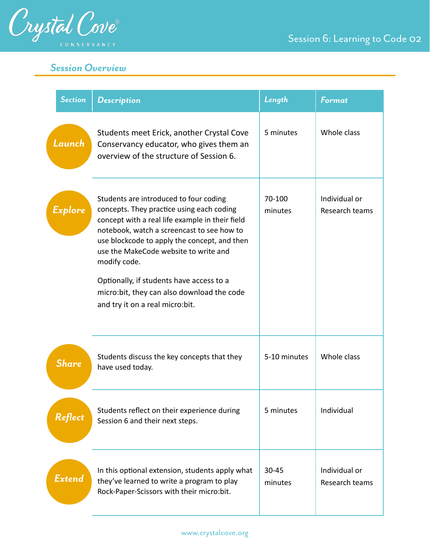|        | <b>Section</b> | <b>Description</b>                                                                                                                                                                                                                                                                                                                                                                                                         | Length            | <b>Format</b>                   |
|--------|----------------|----------------------------------------------------------------------------------------------------------------------------------------------------------------------------------------------------------------------------------------------------------------------------------------------------------------------------------------------------------------------------------------------------------------------------|-------------------|---------------------------------|
| Launch |                | Students meet Erick, another Crystal Cove<br>Conservancy educator, who gives them an<br>overview of the structure of Session 6.                                                                                                                                                                                                                                                                                            | 5 minutes         | Whole class                     |
|        | Explore        | Students are introduced to four coding<br>concepts. They practice using each coding<br>concept with a real life example in their field<br>notebook, watch a screencast to see how to<br>use blockcode to apply the concept, and then<br>use the MakeCode website to write and<br>modify code.<br>Optionally, if students have access to a<br>micro:bit, they can also download the code<br>and try it on a real micro:bit. | 70-100<br>minutes | Individual or<br>Research teams |
|        | <b>Share</b>   | Students discuss the key concepts that they<br>have used today.                                                                                                                                                                                                                                                                                                                                                            | 5-10 minutes      | Whole class                     |
|        | Reflect        | Students reflect on their experience during<br>Session 6 and their next steps.                                                                                                                                                                                                                                                                                                                                             | 5 minutes         | Individual                      |
|        | Extend         | In this optional extension, students apply what<br>they've learned to write a program to play<br>Rock-Paper-Scissors with their micro:bit.                                                                                                                                                                                                                                                                                 | 30-45<br>minutes  | Individual or<br>Research teams |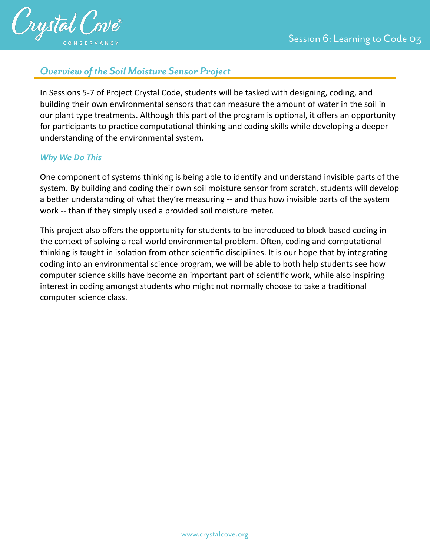

# *Overview of the Soil Moisture Sensor Project*

In Sessions 5-7 of Project Crystal Code, students will be tasked with designing, coding, and building their own environmental sensors that can measure the amount of water in the soil in our plant type treatments. Although this part of the program is optional, it offers an opportunity for participants to practice computational thinking and coding skills while developing a deeper understanding of the environmental system.

## *Why We Do This*

One component of systems thinking is being able to identify and understand invisible parts of the system. By building and coding their own soil moisture sensor from scratch, students will develop a better understanding of what they're measuring -- and thus how invisible parts of the system work -- than if they simply used a provided soil moisture meter.

This project also offers the opportunity for students to be introduced to block-based coding in the context of solving a real-world environmental problem. Often, coding and computational thinking is taught in isolation from other scientific disciplines. It is our hope that by integrating coding into an environmental science program, we will be able to both help students see how computer science skills have become an important part of scientific work, while also inspiring interest in coding amongst students who might not normally choose to take a traditional computer science class.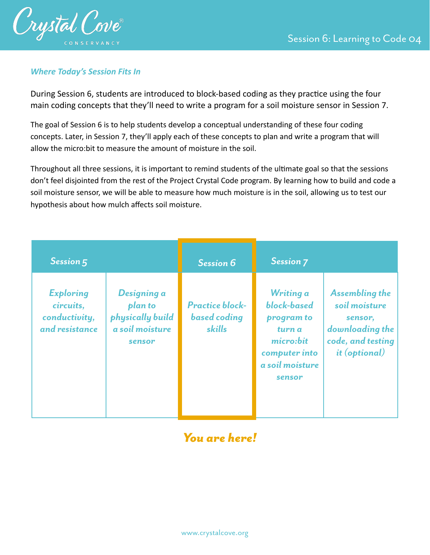

## *Where Today's Session Fits In*

During Session 6, students are introduced to block-based coding as they practice using the four main coding concepts that they'll need to write a program for a soil moisture sensor in Session 7.

The goal of Session 6 is to help students develop a conceptual understanding of these four coding concepts. Later, in Session 7, they'll apply each of these concepts to plan and write a program that will allow the micro:bit to measure the amount of moisture in the soil.

Throughout all three sessions, it is important to remind students of the ultimate goal so that the sessions don't feel disjointed from the rest of the Project Crystal Code program. By learning how to build and code a soil moisture sensor, we will be able to measure how much moisture is in the soil, allowing us to test our hypothesis about how mulch affects soil moisture.

| Session 5                                                        |                                                                         | <b>Session 6</b>                                        | <b>Session 7</b>                                                                                            |                                                                                                                   |
|------------------------------------------------------------------|-------------------------------------------------------------------------|---------------------------------------------------------|-------------------------------------------------------------------------------------------------------------|-------------------------------------------------------------------------------------------------------------------|
| <b>Exploring</b><br>circuits,<br>conductivity,<br>and resistance | Designing a<br>plan to<br>physically build<br>a soil moisture<br>sensor | <b>Practice block-</b><br><b>based</b> coding<br>skills | Writing a<br>block-based<br>program to<br>turn a<br>micro:bit<br>computer into<br>a soil moisture<br>sensor | <b>Assembling the</b><br>soil moisture<br>sensor,<br>downloading the<br>code, and testing<br><i>it (optional)</i> |

# *You are here!*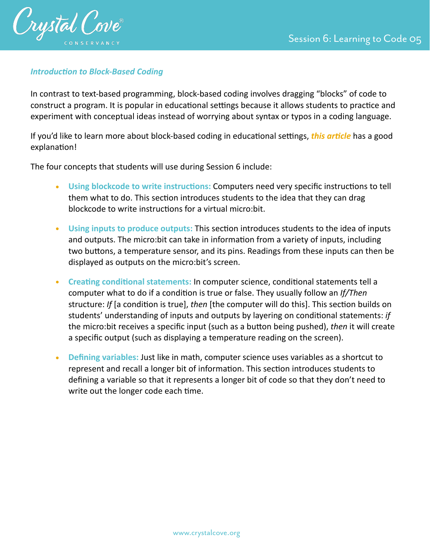

## **Introduction to Block-Based Coding**

In contrast to text-based programming, block-based coding involves dragging "blocks" of code to construct a program. It is popular in educational settings because it allows students to practice and experiment with conceptual ideas instead of worrying about syntax or typos in a coding language.

If you'd like to learn more about block-based coding in educational settings, *this article* has a good explanation!

The four concepts that students will use during Session 6 include:

- Using blockcode to write instructions: Computers need very specific instructions to tell them what to do. This section introduces students to the idea that they can drag blockcode to write instructions for a virtual micro:bit.
- Using inputs to produce outputs: This section introduces students to the idea of inputs and outputs. The micro:bit can take in information from a variety of inputs, including two buttons, a temperature sensor, and its pins. Readings from these inputs can then be displayed as outputs on the micro:bit's screen.
- Creating conditional statements: In computer science, conditional statements tell a computer what to do if a condition is true or false. They usually follow an *If/Then* structure: *If* [a condition is true], *then* [the computer will do this]. This section builds on students' understanding of inputs and outputs by layering on conditional statements: *if* the micro:bit receives a specific input (such as a button being pushed), *then* it will create a specific output (such as displaying a temperature reading on the screen).
- **• Defining variables:** Just like in math, computer science uses variables as a shortcut to represent and recall a longer bit of information. This section introduces students to defining a variable so that it represents a longer bit of code so that they don't need to write out the longer code each time.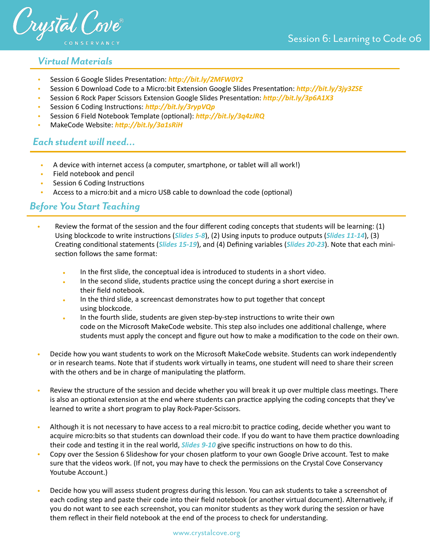

# *Virtual Materials*

- Session 6 Google Slides Presentation: http://bit.ly/2MFW0Y2
- Session 6 Download Code to a Micro:bit Extension Google Slides Presentation: *http://bit.ly/3jy3ZSE*
- Session 6 Rock Paper Scissors Extension Google Slides Presenta:on: *[hVp://bit.ly/3p6A1X3](http://bit.ly/3p6A1X3)*
- Session 6 Coding Instructions: *http://bit.ly/3rypVQp*
- Session 6 Field Notebook Template (optional): *http://bit.ly/3q4zJRQ*
- MakeCode Website: http://bit.ly/3a1sRiH

# *Each student will need…*

- A device with internet access (a computer, smartphone, or tablet will all work!)
- Field notebook and pencil
- **Session 6 Coding Instructions**
- Access to a micro:bit and a micro USB cable to download the code (optional)

# *Before You Start Teaching*

- Review the format of the session and the four different coding concepts that students will be learning: (1) Using blockcode to write instructions (*Slides 5-8*), (2) Using inputs to produce outputs (*Slides 11-14*), (3) Creating conditional statements (*Slides 15-19*), and (4) Defining variables (*Slides 20-23*). Note that each minisection follows the same format:
	- In the first slide, the conceptual idea is introduced to students in a short video.
	- In the second slide, students practice using the concept during a short exercise in their field notebook.
	- In the third slide, a screencast demonstrates how to put together that concept using blockcode.
	- In the fourth slide, students are given step-by-step instructions to write their own code on the Microsoft MakeCode website. This step also includes one additional challenge, where students must apply the concept and figure out how to make a modification to the code on their own.
- Decide how you want students to work on the Microsoft MakeCode website. Students can work independently or in research teams. Note that if students work virtually in teams, one student will need to share their screen with the others and be in charge of manipulating the platform.
- Review the structure of the session and decide whether you will break it up over multiple class meetings. There is also an optional extension at the end where students can practice applying the coding concepts that they've learned to write a short program to play Rock-Paper-Scissors.
- Although it is not necessary to have access to a real micro:bit to practice coding, decide whether you want to acquire micro:bits so that students can download their code. If you do want to have them practice downloading their code and testing it in the real world, *Slides 9-10* give specific instructions on how to do this.
- Copy over the Session 6 Slideshow for your chosen platform to your own Google Drive account. Test to make sure that the videos work. (If not, you may have to check the permissions on the Crystal Cove Conservancy Youtube Account.)
- Decide how you will assess student progress during this lesson. You can ask students to take a screenshot of each coding step and paste their code into their field notebook (or another virtual document). Alternatively, if you do not want to see each screenshot, you can monitor students as they work during the session or have them reflect in their field notebook at the end of the process to check for understanding.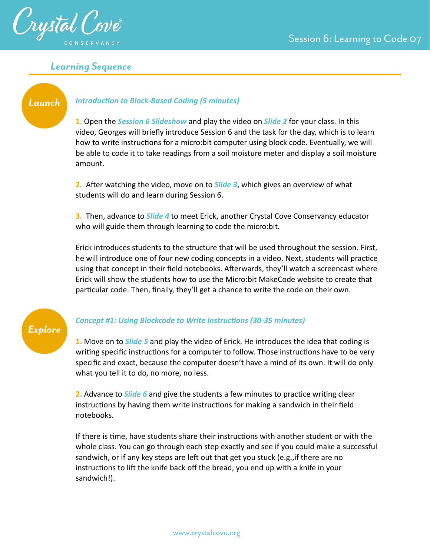

# *Learning Sequence*

# *Launch*

### **Introduction to Block-Based Coding (5 minutes)**

**1.** Open the *Session 6 Slideshow* and play the video on *Slide 2* for your class. In this video, Georges will briefly introduce Session 6 and the task for the day, which is to learn how to write instructions for a micro:bit computer using block code. Eventually, we will be able to code it to take readings from a soil moisture meter and display a soil moisture amount.

**2.** After watching the video, move on to **Slide 3**, which gives an overview of what students will do and learn during Session 6.

**3.** Then, advance to *Slide 4* to meet Erick, another Crystal Cove Conservancy educator who will guide them through learning to code the micro:bit.

Erick introduces students to the structure that will be used throughout the session. First, he will introduce one of four new coding concepts in a video. Next, students will practice using that concept in their field notebooks. Afterwards, they'll watch a screencast where Erick will show the students how to use the Micro:bit MakeCode website to create that particular code. Then, finally, they'll get a chance to write the code on their own.

# *Explore*

## **Concept #1: Using Blockcode to Write Instructions (30-35 minutes)**

**1.** Move on to *Slide 5* and play the video of Erick. He introduces the idea that coding is writing specific instructions for a computer to follow. Those instructions have to be very specific and exact, because the computer doesn't have a mind of its own. It will do only what you tell it to do, no more, no less.

**2.** Advance to *Slide 6* and give the students a few minutes to practice writing clear instructions by having them write instructions for making a sandwich in their field notebooks.

If there is time, have students share their instructions with another student or with the whole class. You can go through each step exactly and see if you could make a successful sandwich, or if any key steps are left out that get you stuck (e.g., if there are no instructions to lift the knife back off the bread, you end up with a knife in your sandwich!).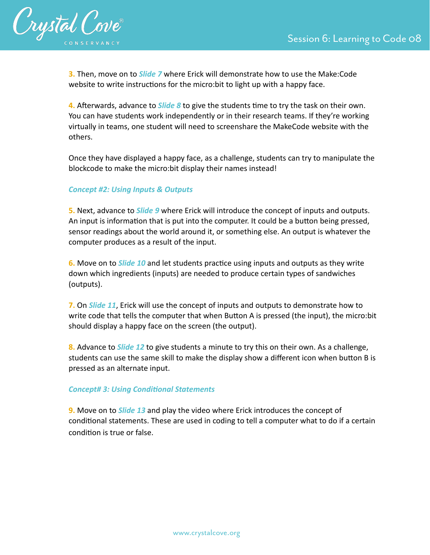

**3.** Then, move on to *Slide 7* where Erick will demonstrate how to use the Make:Code website to write instructions for the micro:bit to light up with a happy face.

**4.** Afterwards, advance to *Slide 8* to give the students time to try the task on their own. You can have students work independently or in their research teams. If they're working virtually in teams, one student will need to screenshare the MakeCode website with the others.

Once they have displayed a happy face, as a challenge, students can try to manipulate the blockcode to make the micro:bit display their names instead!

### *Concept #2: Using Inputs & Outputs*

**5.** Next, advance to *Slide 9* where Erick will introduce the concept of inputs and outputs. An input is information that is put into the computer. It could be a button being pressed, sensor readings about the world around it, or something else. An output is whatever the computer produces as a result of the input.

**6.** Move on to **Slide 10** and let students practice using inputs and outputs as they write down which ingredients (inputs) are needed to produce certain types of sandwiches (outputs).

**7.** On *Slide 11*, Erick will use the concept of inputs and outputs to demonstrate how to write code that tells the computer that when Button A is pressed (the input), the micro:bit should display a happy face on the screen (the output).

**8.** Advance to *Slide 12* to give students a minute to try this on their own. As a challenge, students can use the same skill to make the display show a different icon when button B is pressed as an alternate input.

### **Concept# 3: Using Conditional Statements**

**9.** Move on to *Slide 13* and play the video where Erick introduces the concept of conditional statements. These are used in coding to tell a computer what to do if a certain condition is true or false.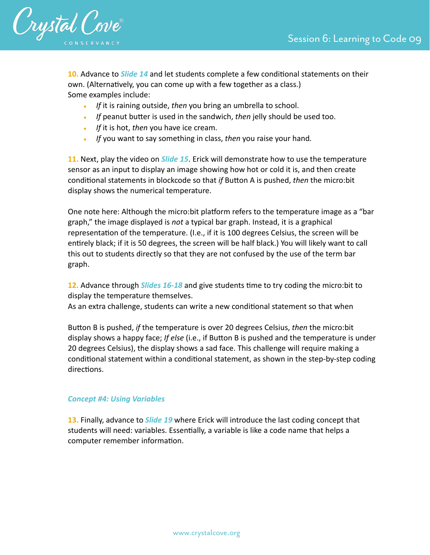

**10.** Advance to *Slide 14* and let students complete a few conditional statements on their own. (Alternatively, you can come up with a few together as a class.) Some examples include:

- *If* it is raining outside, *then* you bring an umbrella to school.
- If peanut butter is used in the sandwich, *then* jelly should be used too.
- *If* it is hot, *then* you have ice cream.
- *If* you want to say something in class, *then* you raise your hand*.*

**11.** Next, play the video on *Slide 15*. Erick will demonstrate how to use the temperature sensor as an input to display an image showing how hot or cold it is, and then create conditional statements in blockcode so that *if* Button A is pushed, *then* the micro:bit display shows the numerical temperature.

One note here: Although the micro:bit platform refers to the temperature image as a "bar graph," the image displayed is *not* a typical bar graph. Instead, it is a graphical representation of the temperature. (I.e., if it is 100 degrees Celsius, the screen will be entirely black; if it is 50 degrees, the screen will be half black.) You will likely want to call this out to students directly so that they are not confused by the use of the term bar graph.

**12.** Advance through *Slides 16-18* and give students time to try coding the micro:bit to display the temperature themselves.

As an extra challenge, students can write a new conditional statement so that when

Button B is pushed, *if* the temperature is over 20 degrees Celsius, *then* the micro:bit display shows a happy face; *If else* (i.e., if Button B is pushed and the temperature is under 20 degrees Celsius), the display shows a sad face. This challenge will require making a conditional statement within a conditional statement, as shown in the step-by-step coding directions.

### *Concept #4: Using Variables*

**13.** Finally, advance to *Slide 19* where Erick will introduce the last coding concept that students will need: variables. Essentially, a variable is like a code name that helps a computer remember information.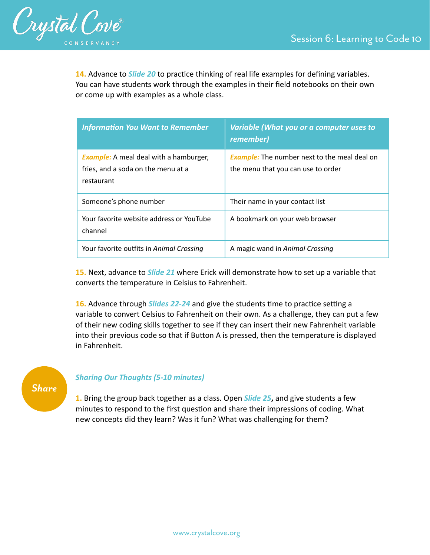

14. Advance to *Slide 20* to practice thinking of real life examples for defining variables. You can have students work through the examples in their field notebooks on their own or come up with examples as a whole class.

| <b>Information You Want to Remember</b>                                                           | Variable (What you or a computer uses to<br>remember)                                     |
|---------------------------------------------------------------------------------------------------|-------------------------------------------------------------------------------------------|
| <b>Example:</b> A meal deal with a hamburger,<br>fries, and a soda on the menu at a<br>restaurant | <b>Example:</b> The number next to the meal deal on<br>the menu that you can use to order |
| Someone's phone number                                                                            | Their name in your contact list                                                           |
| Your favorite website address or YouTube<br>channel                                               | A bookmark on your web browser                                                            |
| Your favorite outfits in Animal Crossing                                                          | A magic wand in Animal Crossing                                                           |

**15.** Next, advance to *Slide 21* where Erick will demonstrate how to set up a variable that converts the temperature in Celsius to Fahrenheit.

**16.** Advance through *Slides 22-24* and give the students time to practice setting a variable to convert Celsius to Fahrenheit on their own. As a challenge, they can put a few of their new coding skills together to see if they can insert their new Fahrenheit variable into their previous code so that if Button A is pressed, then the temperature is displayed in Fahrenheit.

# *Share*

### *Sharing Our Thoughts (5-10 minutes)*

**1.** Bring the group back together as a class. Open *Slide 25***,** and give students a few minutes to respond to the first question and share their impressions of coding. What new concepts did they learn? Was it fun? What was challenging for them?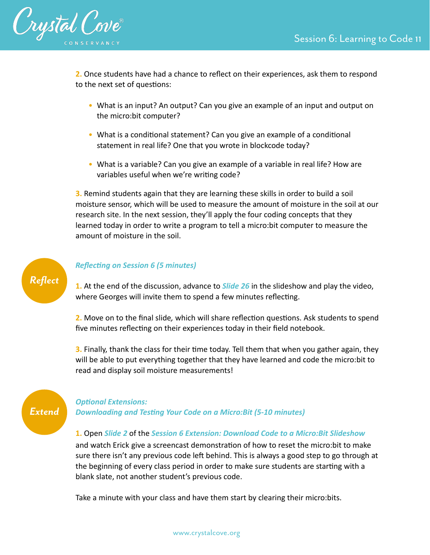

**2.** Once students have had a chance to reflect on their experiences, ask them to respond to the next set of questions:

- What is an input? An output? Can you give an example of an input and output on the micro:bit computer?
- What is a conditional statement? Can you give an example of a conditional statement in real life? One that you wrote in blockcode today?
- What is a variable? Can you give an example of a variable in real life? How are variables useful when we're writing code?

**3.** Remind students again that they are learning these skills in order to build a soil moisture sensor, which will be used to measure the amount of moisture in the soil at our research site. In the next session, they'll apply the four coding concepts that they learned today in order to write a program to tell a micro:bit computer to measure the amount of moisture in the soil.



### **Reflecting on Session 6 (5 minutes)**

**1.** At the end of the discussion, advance to *Slide 26* in the slideshow and play the video, where Georges will invite them to spend a few minutes reflecting.

**2.** Move on to the final slide, which will share reflection questions. Ask students to spend five minutes reflecting on their experiences today in their field notebook.

**3.** Finally, thank the class for their time today. Tell them that when you gather again, they will be able to put everything together that they have learned and code the micro:bit to read and display soil moisture measurements!



### **Optional Extensions:**

**Downloading and Testing Your Code on a Micro:Bit (5-10 minutes)** 

#### **1.** Open *Slide 2* of the *Session 6 Extension: Download Code to a Micro:Bit Slideshow*

and watch Erick give a screencast demonstration of how to reset the micro:bit to make sure there isn't any previous code left behind. This is always a good step to go through at the beginning of every class period in order to make sure students are starting with a blank slate, not another student's previous code.

Take a minute with your class and have them start by clearing their micro:bits.